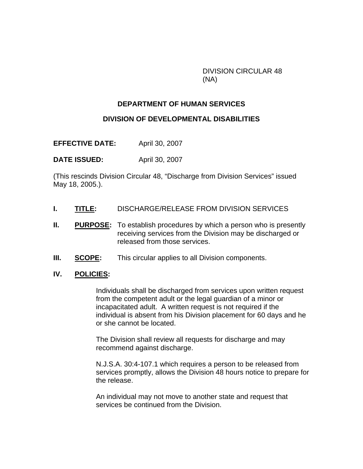DIVISION CIRCULAR 48 (NA)

## **DEPARTMENT OF HUMAN SERVICES**

## **DIVISION OF DEVELOPMENTAL DISABILITIES**

**EFFECTIVE DATE:** April 30, 2007

**DATE ISSUED:** April 30, 2007

(This rescinds Division Circular 48, "Discharge from Division Services" issued May 18, 2005.).

- **I. TITLE:** DISCHARGE/RELEASE FROM DIVISION SERVICES
- **II.** PURPOSE: To establish procedures by which a person who is presently receiving services from the Division may be discharged or released from those services.
- **III. SCOPE:** This circular applies to all Division components.
- **IV. POLICIES:**

Individuals shall be discharged from services upon written request from the competent adult or the legal guardian of a minor or incapacitated adult. A written request is not required if the individual is absent from his Division placement for 60 days and he or she cannot be located.

The Division shall review all requests for discharge and may recommend against discharge.

N.J.S.A. 30:4-107.1 which requires a person to be released from services promptly, allows the Division 48 hours notice to prepare for the release.

An individual may not move to another state and request that services be continued from the Division.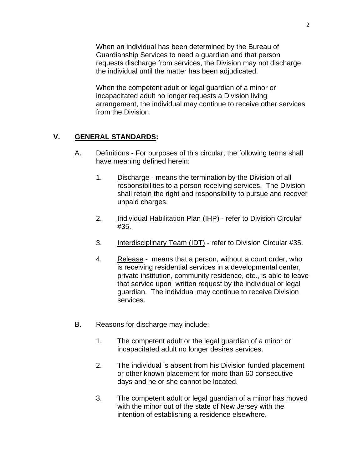When an individual has been determined by the Bureau of Guardianship Services to need a guardian and that person requests discharge from services, the Division may not discharge the individual until the matter has been adjudicated.

When the competent adult or legal guardian of a minor or incapacitated adult no longer requests a Division living arrangement, the individual may continue to receive other services from the Division.

## **V. GENERAL STANDARDS:**

- A. Definitions For purposes of this circular, the following terms shall have meaning defined herein:
	- 1. Discharge means the termination by the Division of all responsibilities to a person receiving services. The Division shall retain the right and responsibility to pursue and recover unpaid charges.
	- 2. Individual Habilitation Plan (IHP) refer to Division Circular #35.
	- 3. Interdisciplinary Team (IDT) refer to Division Circular #35.
	- 4. Release means that a person, without a court order, who is receiving residential services in a developmental center, private institution, community residence, etc., is able to leave that service upon written request by the individual or legal guardian. The individual may continue to receive Division services.
- B. Reasons for discharge may include:
	- 1. The competent adult or the legal guardian of a minor or incapacitated adult no longer desires services.
	- 2. The individual is absent from his Division funded placement or other known placement for more than 60 consecutive days and he or she cannot be located.
	- 3. The competent adult or legal guardian of a minor has moved with the minor out of the state of New Jersey with the intention of establishing a residence elsewhere.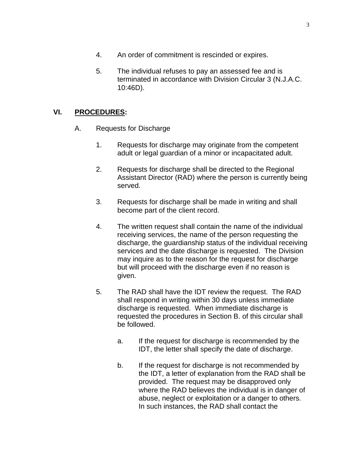- 4. An order of commitment is rescinded or expires.
- 5. The individual refuses to pay an assessed fee and is terminated in accordance with Division Circular 3 (N.J.A.C. 10:46D).

## **VI. PROCEDURES:**

- A. Requests for Discharge
	- 1. Requests for discharge may originate from the competent adult or legal guardian of a minor or incapacitated adult.
	- 2. Requests for discharge shall be directed to the Regional Assistant Director (RAD) where the person is currently being served.
	- 3. Requests for discharge shall be made in writing and shall become part of the client record.
	- 4. The written request shall contain the name of the individual receiving services, the name of the person requesting the discharge, the guardianship status of the individual receiving services and the date discharge is requested. The Division may inquire as to the reason for the request for discharge but will proceed with the discharge even if no reason is given.
	- 5. The RAD shall have the IDT review the request. The RAD shall respond in writing within 30 days unless immediate discharge is requested. When immediate discharge is requested the procedures in Section B. of this circular shall be followed.
		- a. If the request for discharge is recommended by the IDT, the letter shall specify the date of discharge.
		- b. If the request for discharge is not recommended by the IDT, a letter of explanation from the RAD shall be provided. The request may be disapproved only where the RAD believes the individual is in danger of abuse, neglect or exploitation or a danger to others. In such instances, the RAD shall contact the